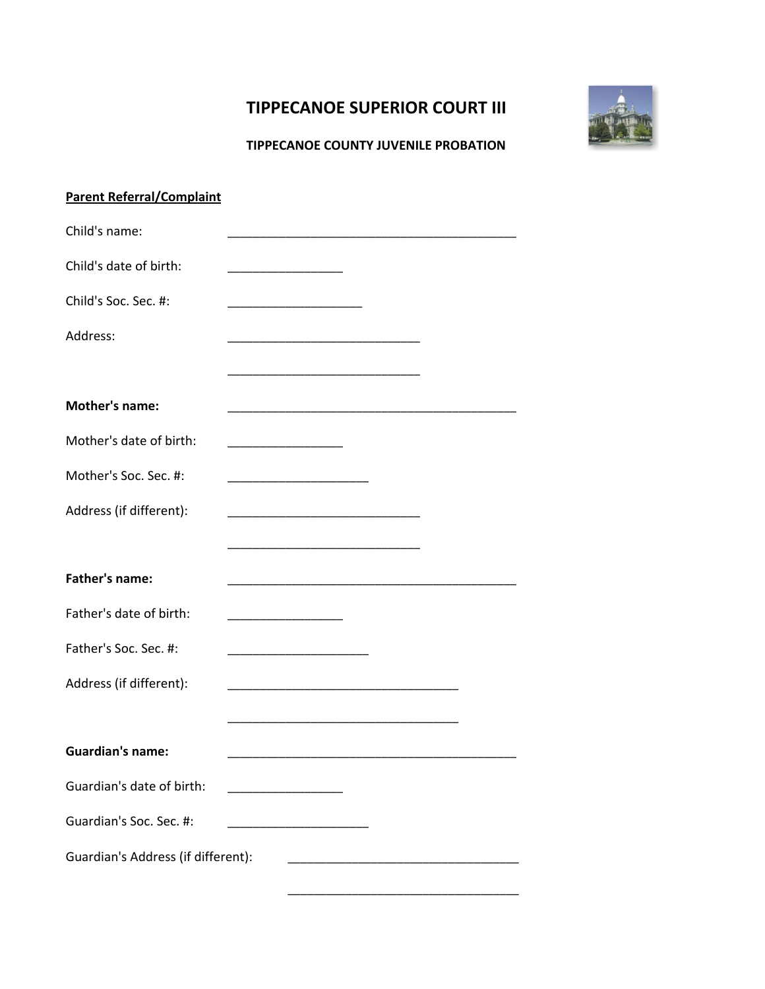## **TIPPECANOE SUPERIOR COURT III**



## **TIPPECANOE COUNTY JUVENILE PROBATION**

| <b>Parent Referral/Complaint</b>   |                                                                                                                       |
|------------------------------------|-----------------------------------------------------------------------------------------------------------------------|
| Child's name:                      |                                                                                                                       |
| Child's date of birth:             |                                                                                                                       |
| Child's Soc. Sec. #:               |                                                                                                                       |
| Address:                           |                                                                                                                       |
|                                    |                                                                                                                       |
| <b>Mother's name:</b>              | <u> 1989 - Johann Barbara, martin amerikan basar dan berasal dalam basar dalam basar dalam basar dalam basar dala</u> |
| Mother's date of birth:            |                                                                                                                       |
| Mother's Soc. Sec. #:              |                                                                                                                       |
| Address (if different):            |                                                                                                                       |
|                                    |                                                                                                                       |
| <b>Father's name:</b>              |                                                                                                                       |
| Father's date of birth:            |                                                                                                                       |
| Father's Soc. Sec. #:              |                                                                                                                       |
| Address (if different):            | <u> 1989 - Johann Barn, mars ann an t-Amhair an t-Amhair an t-Amhair an t-Amhair an t-Amhair an t-Amhair an t-Amh</u> |
|                                    |                                                                                                                       |
| <b>Guardian's name:</b>            |                                                                                                                       |
| Guardian's date of birth:          | <u> 1989 - Johann Barn, mars and de Branch Barn, mars and de Branch Barn, mars and de Branch Barn, mars and de Br</u> |
| Guardian's Soc. Sec. #:            |                                                                                                                       |
| Guardian's Address (if different): | <u> 1989 - Johann Barbara, margaret eta idazlea (h. 1989).</u>                                                        |
|                                    |                                                                                                                       |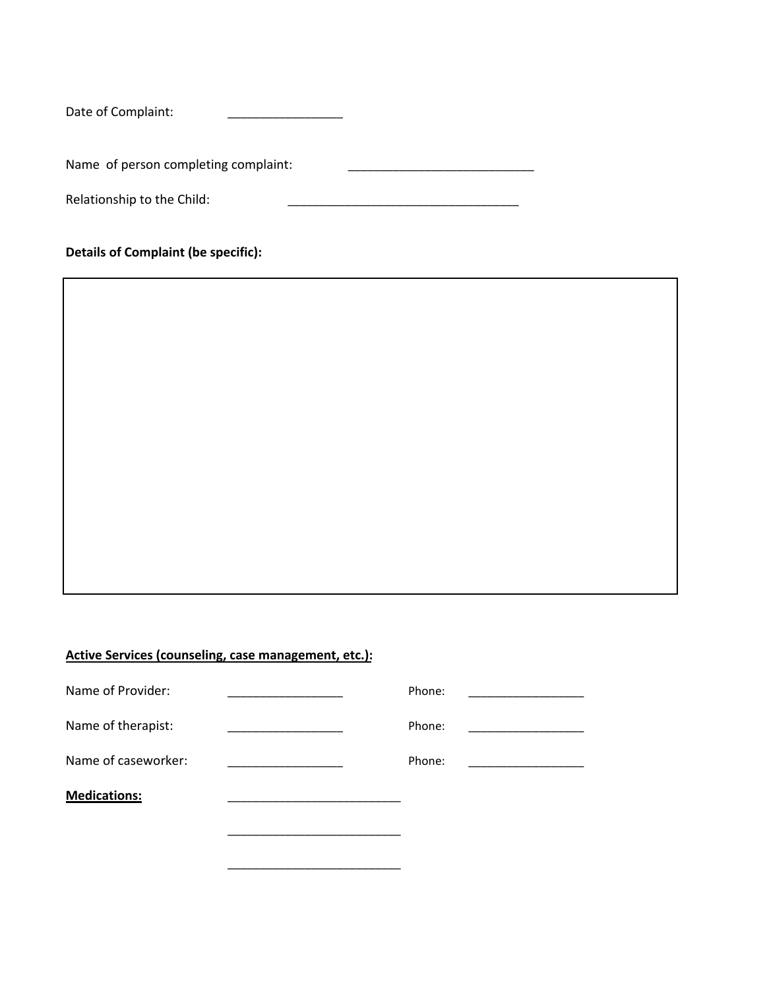Date of Complaint: \_\_\_\_\_\_\_\_

Name of person completing complaint:

Relationship to the Child:

**Details of Complaint (be specific):**

## **Active Services (counseling, case management, etc.):**

| Name of Provider:   | Phone: |  |
|---------------------|--------|--|
| Name of therapist:  | Phone: |  |
| Name of caseworker: | Phone: |  |
| <b>Medications:</b> |        |  |
|                     |        |  |
|                     |        |  |